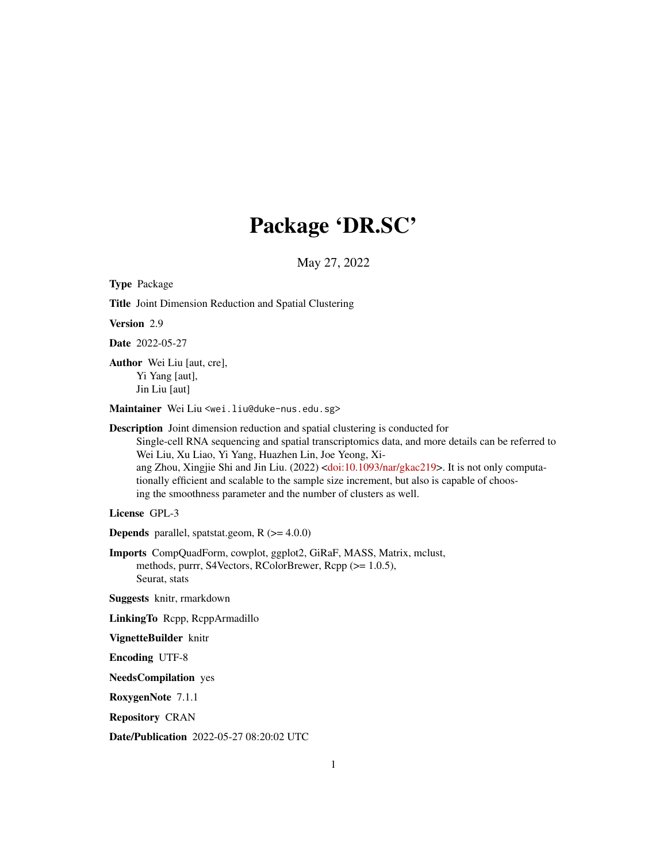# Package 'DR.SC'

May 27, 2022

<span id="page-0-0"></span>Type Package Title Joint Dimension Reduction and Spatial Clustering Version 2.9 Date 2022-05-27 Author Wei Liu [aut, cre], Yi Yang [aut], Jin Liu [aut] Maintainer Wei Liu <wei.liu@duke-nus.edu.sg> Description Joint dimension reduction and spatial clustering is conducted for Single-cell RNA sequencing and spatial transcriptomics data, and more details can be referred to Wei Liu, Xu Liao, Yi Yang, Huazhen Lin, Joe Yeong, Xiang Zhou, Xingjie Shi and Jin Liu. (2022) [<doi:10.1093/nar/gkac219>](https://doi.org/10.1093/nar/gkac219). It is not only computationally efficient and scalable to the sample size increment, but also is capable of choosing the smoothness parameter and the number of clusters as well. License GPL-3 **Depends** parallel, spatstat.geom,  $R$  ( $>= 4.0.0$ ) Imports CompQuadForm, cowplot, ggplot2, GiRaF, MASS, Matrix, mclust, methods, purrr, S4Vectors, RColorBrewer, Rcpp (>= 1.0.5), Seurat, stats Suggests knitr, rmarkdown LinkingTo Rcpp, RcppArmadillo VignetteBuilder knitr Encoding UTF-8 NeedsCompilation yes RoxygenNote 7.1.1 Repository CRAN Date/Publication 2022-05-27 08:20:02 UTC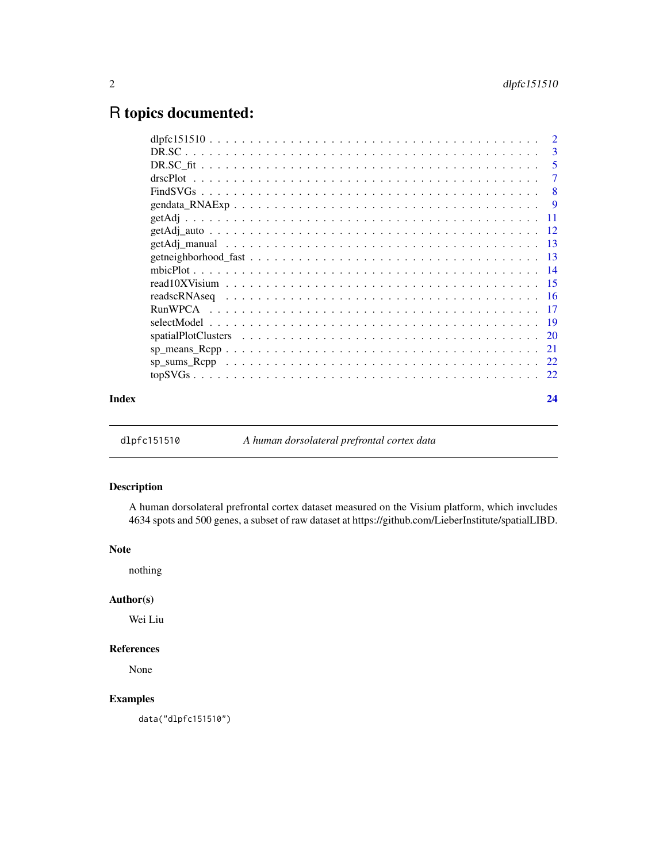# <span id="page-1-0"></span>R topics documented:

|       |                                                                                                                                                                   | - 5 |
|-------|-------------------------------------------------------------------------------------------------------------------------------------------------------------------|-----|
|       |                                                                                                                                                                   | -7  |
|       |                                                                                                                                                                   |     |
|       |                                                                                                                                                                   |     |
|       |                                                                                                                                                                   |     |
|       |                                                                                                                                                                   |     |
|       |                                                                                                                                                                   |     |
|       |                                                                                                                                                                   |     |
|       |                                                                                                                                                                   |     |
|       | read $10X$ Visium $\ldots$ $\ldots$ $\ldots$ $\ldots$ $\ldots$ $\ldots$ $\ldots$ $\ldots$ $\ldots$ $\ldots$ $\ldots$ $\ldots$ $\ldots$ $\ldots$ $\ldots$ $\vdots$ |     |
|       |                                                                                                                                                                   |     |
|       |                                                                                                                                                                   |     |
|       |                                                                                                                                                                   |     |
|       |                                                                                                                                                                   |     |
|       |                                                                                                                                                                   |     |
|       |                                                                                                                                                                   |     |
|       |                                                                                                                                                                   |     |
| Index |                                                                                                                                                                   | 24  |
|       |                                                                                                                                                                   |     |

dlpfc151510 *A human dorsolateral prefrontal cortex data*

# Description

A human dorsolateral prefrontal cortex dataset measured on the Visium platform, which invcludes 4634 spots and 500 genes, a subset of raw dataset at https://github.com/LieberInstitute/spatialLIBD.

#### Note

nothing

# Author(s)

Wei Liu

# References

None

# Examples

data("dlpfc151510")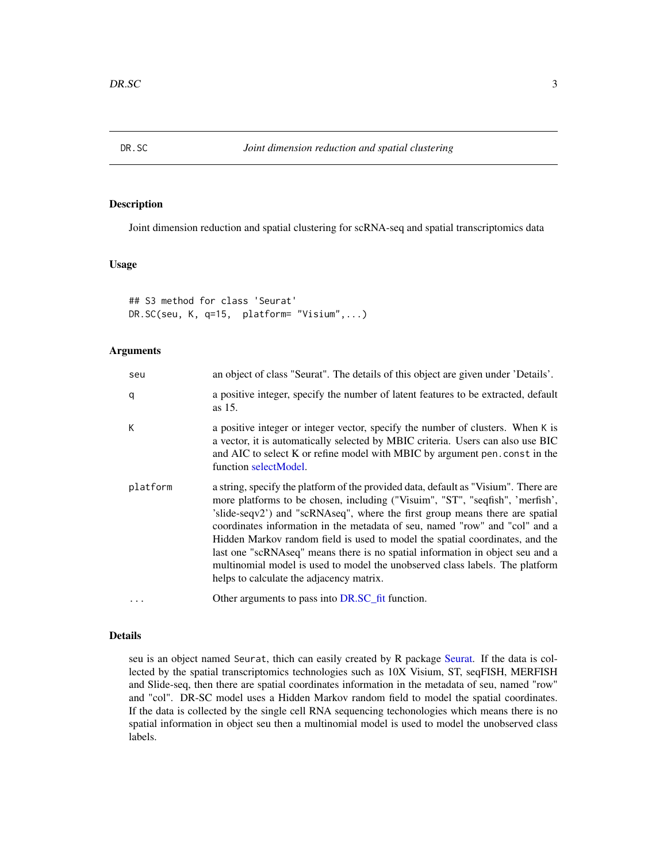<span id="page-2-1"></span><span id="page-2-0"></span>

# Description

Joint dimension reduction and spatial clustering for scRNA-seq and spatial transcriptomics data

# Usage

## S3 method for class 'Seurat' DR.SC(seu, K, q=15, platform= "Visium",...)

#### Arguments

| seu      | an object of class "Seurat". The details of this object are given under 'Details'.                                                                                                                                                                                                                                                                                                                                                                                                                                                                                                                                               |
|----------|----------------------------------------------------------------------------------------------------------------------------------------------------------------------------------------------------------------------------------------------------------------------------------------------------------------------------------------------------------------------------------------------------------------------------------------------------------------------------------------------------------------------------------------------------------------------------------------------------------------------------------|
| q        | a positive integer, specify the number of latent features to be extracted, default<br>as 15.                                                                                                                                                                                                                                                                                                                                                                                                                                                                                                                                     |
| K        | a positive integer or integer vector, specify the number of clusters. When K is<br>a vector, it is automatically selected by MBIC criteria. Users can also use BIC<br>and AIC to select K or refine model with MBIC by argument pen. const in the<br>function selectModel.                                                                                                                                                                                                                                                                                                                                                       |
| platform | a string, specify the platform of the provided data, default as "Visium". There are<br>more platforms to be chosen, including ("Visuim", "ST", "seqfish", 'merfish',<br>'slide-seqv2') and "scRNAseq", where the first group means there are spatial<br>coordinates information in the metadata of seu, named "row" and "col" and a<br>Hidden Markov random field is used to model the spatial coordinates, and the<br>last one "scRNAseq" means there is no spatial information in object seu and a<br>multinomial model is used to model the unobserved class labels. The platform<br>helps to calculate the adjacency matrix. |
|          | Other arguments to pass into DR.SC_fit function.                                                                                                                                                                                                                                                                                                                                                                                                                                                                                                                                                                                 |

#### Details

seu is an object named Seurat, thich can easily created by R package [Seurat.](#page-0-0) If the data is collected by the spatial transcriptomics technologies such as 10X Visium, ST, seqFISH, MERFISH and Slide-seq, then there are spatial coordinates information in the metadata of seu, named "row" and "col". DR-SC model uses a Hidden Markov random field to model the spatial coordinates. If the data is collected by the single cell RNA sequencing techonologies which means there is no spatial information in object seu then a multinomial model is used to model the unobserved class labels.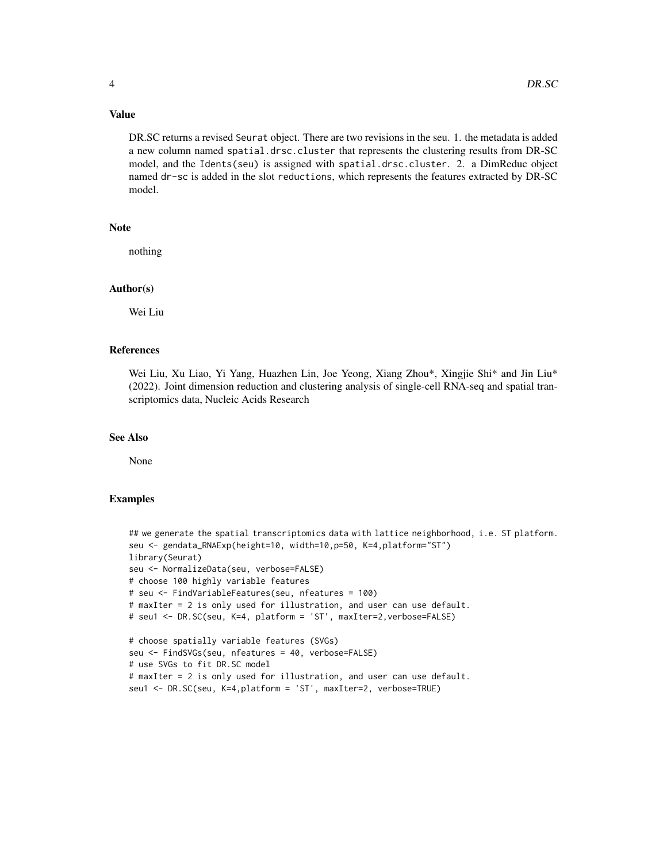#### Value

DR.SC returns a revised Seurat object. There are two revisions in the seu. 1. the metadata is added a new column named spatial.drsc.cluster that represents the clustering results from DR-SC model, and the Idents(seu) is assigned with spatial.drsc.cluster. 2. a DimReduc object named dr-sc is added in the slot reductions, which represents the features extracted by DR-SC model.

# Note

nothing

#### Author(s)

Wei Liu

#### References

Wei Liu, Xu Liao, Yi Yang, Huazhen Lin, Joe Yeong, Xiang Zhou\*, Xingjie Shi\* and Jin Liu\* (2022). Joint dimension reduction and clustering analysis of single-cell RNA-seq and spatial transcriptomics data, Nucleic Acids Research

#### See Also

None

# Examples

```
## we generate the spatial transcriptomics data with lattice neighborhood, i.e. ST platform.
seu <- gendata_RNAExp(height=10, width=10,p=50, K=4,platform="ST")
library(Seurat)
seu <- NormalizeData(seu, verbose=FALSE)
# choose 100 highly variable features
# seu <- FindVariableFeatures(seu, nfeatures = 100)
# maxIter = 2 is only used for illustration, and user can use default.
# seu1 <- DR.SC(seu, K=4, platform = 'ST', maxIter=2,verbose=FALSE)
# choose spatially variable features (SVGs)
seu <- FindSVGs(seu, nfeatures = 40, verbose=FALSE)
# use SVGs to fit DR.SC model
# maxIter = 2 is only used for illustration, and user can use default.
seu1 <- DR.SC(seu, K=4,platform = 'ST', maxIter=2, verbose=TRUE)
```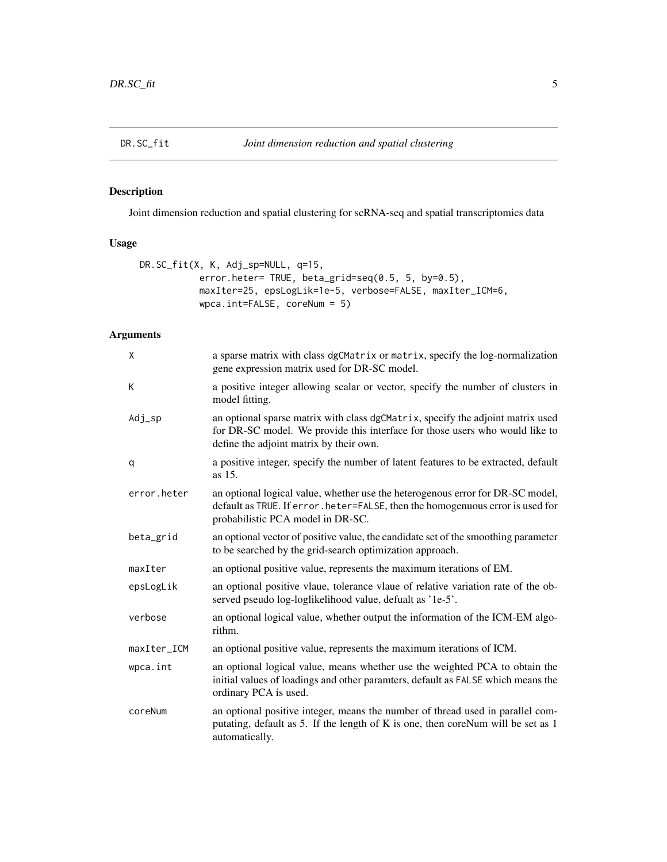<span id="page-4-1"></span><span id="page-4-0"></span>

# Description

Joint dimension reduction and spatial clustering for scRNA-seq and spatial transcriptomics data

#### Usage

```
DR.SC_fit(X, K, Adj_sp=NULL, q=15,
           error.heter= TRUE, beta_grid=seq(0.5, 5, by=0.5),
           maxIter=25, epsLogLik=1e-5, verbose=FALSE, maxIter_ICM=6,
           wpca.int=FALSE, coreNum = 5)
```
# Arguments

| X           | a sparse matrix with class dgCMatrix or matrix, specify the log-normalization<br>gene expression matrix used for DR-SC model.                                                                              |
|-------------|------------------------------------------------------------------------------------------------------------------------------------------------------------------------------------------------------------|
| К           | a positive integer allowing scalar or vector, specify the number of clusters in<br>model fitting.                                                                                                          |
| $Adj_sp$    | an optional sparse matrix with class dgCMatrix, specify the adjoint matrix used<br>for DR-SC model. We provide this interface for those users who would like to<br>define the adjoint matrix by their own. |
| q           | a positive integer, specify the number of latent features to be extracted, default<br>as 15.                                                                                                               |
| error.heter | an optional logical value, whether use the heterogenous error for DR-SC model,<br>default as TRUE. If error. heter=FALSE, then the homogenuous error is used for<br>probabilistic PCA model in DR-SC.      |
| beta_grid   | an optional vector of positive value, the candidate set of the smoothing parameter<br>to be searched by the grid-search optimization approach.                                                             |
| maxIter     | an optional positive value, represents the maximum iterations of EM.                                                                                                                                       |
| epsLogLik   | an optional positive vlaue, tolerance vlaue of relative variation rate of the ob-<br>served pseudo log-loglikelihood value, defualt as '1e-5'.                                                             |
| verbose     | an optional logical value, whether output the information of the ICM-EM algo-<br>rithm.                                                                                                                    |
| maxIter_ICM | an optional positive value, represents the maximum iterations of ICM.                                                                                                                                      |
| wpca.int    | an optional logical value, means whether use the weighted PCA to obtain the<br>initial values of loadings and other paramters, default as FALSE which means the<br>ordinary PCA is used.                   |
| coreNum     | an optional positive integer, means the number of thread used in parallel com-<br>putating, default as 5. If the length of K is one, then coreNum will be set as 1<br>automatically.                       |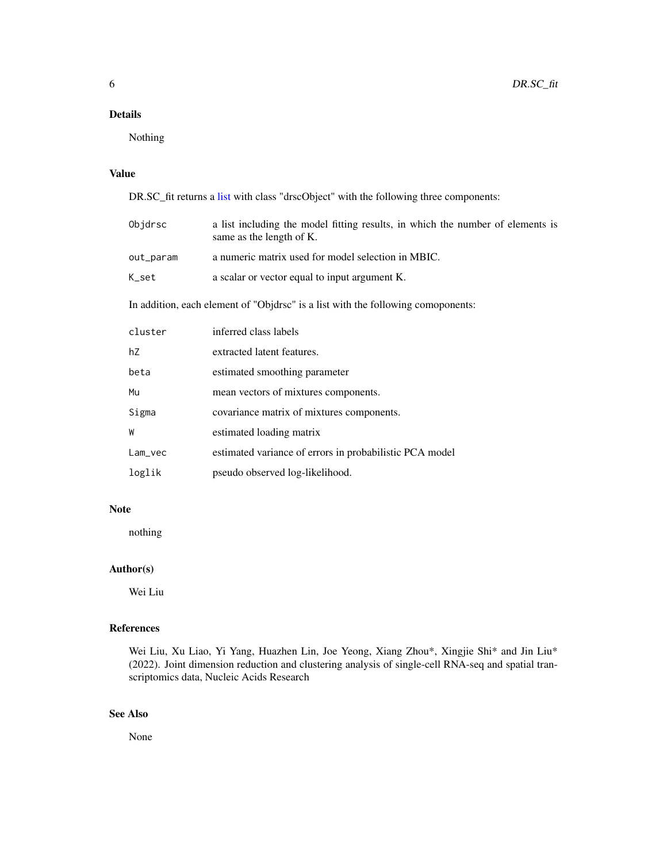# <span id="page-5-0"></span>Details

Nothing

# Value

DR.SC\_fit returns a [list](#page-0-0) with class "drscObject" with the following three components:

| Objdrsc                                                                          | a list including the model fitting results, in which the number of elements is<br>same as the length of K. |  |
|----------------------------------------------------------------------------------|------------------------------------------------------------------------------------------------------------|--|
| out_param                                                                        | a numeric matrix used for model selection in MBIC.                                                         |  |
| K_set                                                                            | a scalar or vector equal to input argument K.                                                              |  |
| In addition, each element of "Objdrsc" is a list with the following comoponents: |                                                                                                            |  |
| cluster                                                                          | inferred class labels                                                                                      |  |
| hZ                                                                               | extracted latent features.                                                                                 |  |
| beta                                                                             | estimated smoothing parameter                                                                              |  |
| Mu                                                                               | mean vectors of mixtures components.                                                                       |  |
| Sigma                                                                            | covariance matrix of mixtures components.                                                                  |  |
| W                                                                                | estimated loading matrix                                                                                   |  |
| $Lam_{vec}$                                                                      | estimated variance of errors in probabilistic PCA model                                                    |  |
| loglik                                                                           | pseudo observed log-likelihood.                                                                            |  |

#### Note

nothing

# Author(s)

Wei Liu

# References

Wei Liu, Xu Liao, Yi Yang, Huazhen Lin, Joe Yeong, Xiang Zhou\*, Xingjie Shi\* and Jin Liu\* (2022). Joint dimension reduction and clustering analysis of single-cell RNA-seq and spatial transcriptomics data, Nucleic Acids Research

# See Also

None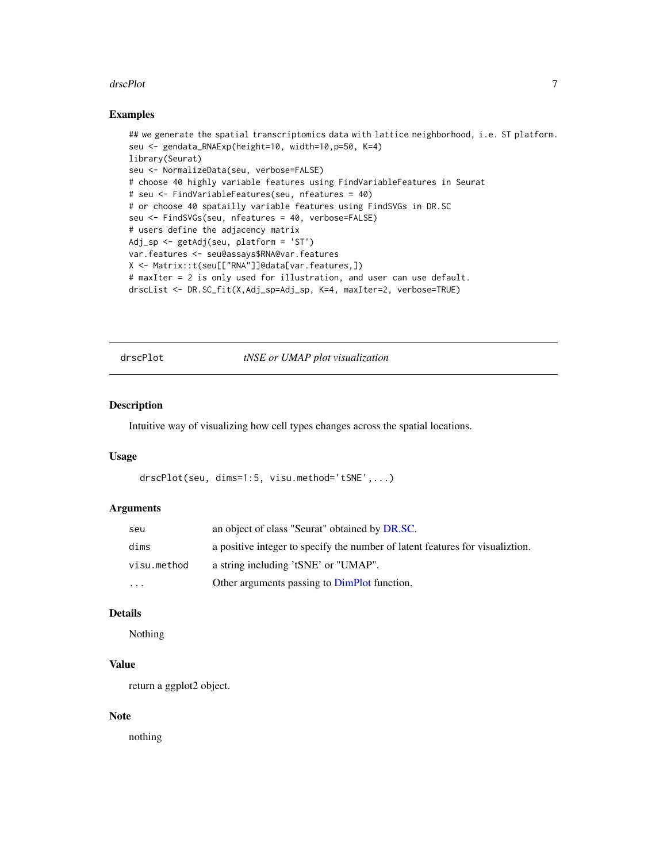#### <span id="page-6-0"></span>drscPlot 7

#### Examples

```
## we generate the spatial transcriptomics data with lattice neighborhood, i.e. ST platform.
seu <- gendata_RNAExp(height=10, width=10,p=50, K=4)
library(Seurat)
seu <- NormalizeData(seu, verbose=FALSE)
# choose 40 highly variable features using FindVariableFeatures in Seurat
# seu <- FindVariableFeatures(seu, nfeatures = 40)
# or choose 40 spatailly variable features using FindSVGs in DR.SC
seu <- FindSVGs(seu, nfeatures = 40, verbose=FALSE)
# users define the adjacency matrix
Adj_sp <- getAdj(seu, platform = 'ST')
var.features <- seu@assays$RNA@var.features
X <- Matrix::t(seu[["RNA"]]@data[var.features,])
# maxIter = 2 is only used for illustration, and user can use default.
drscList <- DR.SC_fit(X,Adj_sp=Adj_sp, K=4, maxIter=2, verbose=TRUE)
```
drscPlot *tNSE or UMAP plot visualization*

#### Description

Intuitive way of visualizing how cell types changes across the spatial locations.

#### Usage

```
drscPlot(seu, dims=1:5, visu.method='tSNE',...)
```
#### Arguments

| seu         | an object of class "Seurat" obtained by DR.SC.                                 |
|-------------|--------------------------------------------------------------------------------|
| dims        | a positive integer to specify the number of latent features for visualization. |
| visu.method | a string including 'tSNE' or "UMAP".                                           |
| $\cdots$    | Other arguments passing to DimPlot function.                                   |

#### Details

Nothing

# Value

return a ggplot2 object.

#### Note

nothing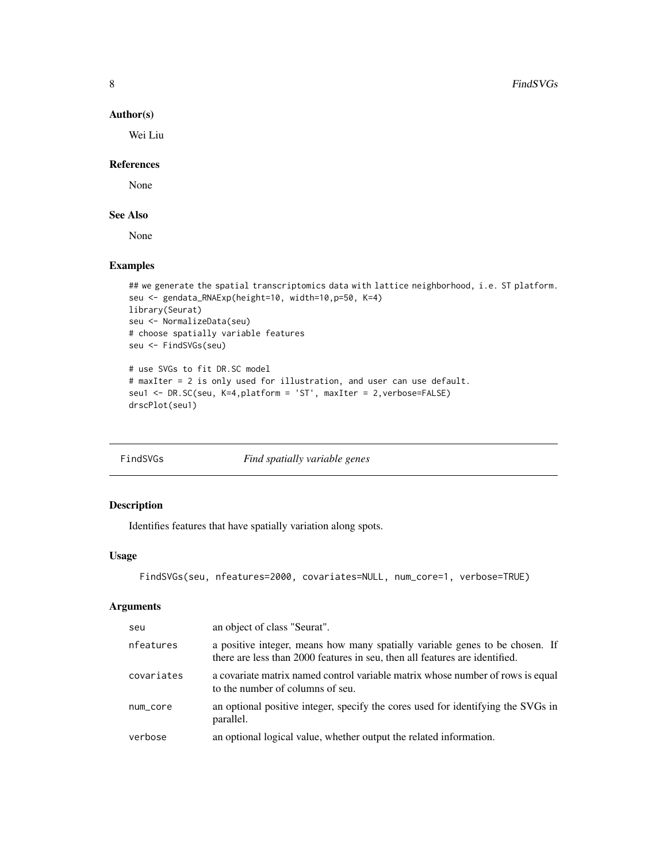#### Author(s)

Wei Liu

#### References

None

# See Also

None

# Examples

```
## we generate the spatial transcriptomics data with lattice neighborhood, i.e. ST platform.
seu <- gendata_RNAExp(height=10, width=10,p=50, K=4)
library(Seurat)
seu <- NormalizeData(seu)
# choose spatially variable features
seu <- FindSVGs(seu)
# use SVGs to fit DR.SC model
# maxIter = 2 is only used for illustration, and user can use default.
```

```
seu1 <- DR.SC(seu, K=4,platform = 'ST', maxIter = 2,verbose=FALSE)
drscPlot(seu1)
```
<span id="page-7-1"></span>

|  | FindSVGs |  |
|--|----------|--|

Find spatially variable genes

# Description

Identifies features that have spatially variation along spots.

# Usage

```
FindSVGs(seu, nfeatures=2000, covariates=NULL, num_core=1, verbose=TRUE)
```
# Arguments

| seu        | an object of class "Seurat".                                                                                                                                |
|------------|-------------------------------------------------------------------------------------------------------------------------------------------------------------|
| nfeatures  | a positive integer, means how many spatially variable genes to be chosen. If<br>there are less than 2000 features in seu, then all features are identified. |
| covariates | a covariate matrix named control variable matrix whose number of rows is equal<br>to the number of columns of seu.                                          |
| num_core   | an optional positive integer, specify the cores used for identifying the SVGs in<br>parallel.                                                               |
| verbose    | an optional logical value, whether output the related information.                                                                                          |

<span id="page-7-0"></span>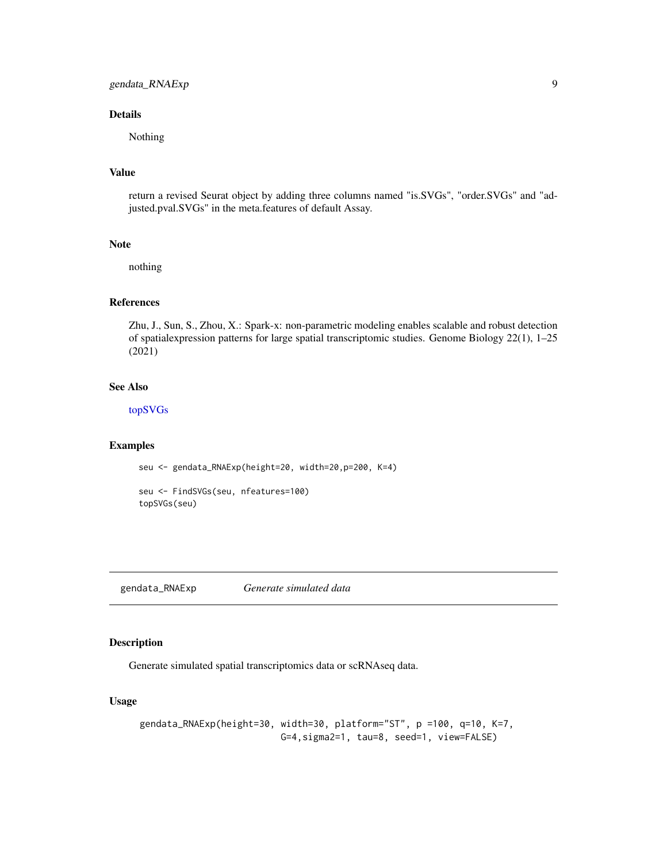# <span id="page-8-0"></span>gendata\_RNAExp 9

#### Details

Nothing

# Value

return a revised Seurat object by adding three columns named "is.SVGs", "order.SVGs" and "adjusted.pval.SVGs" in the meta.features of default Assay.

#### Note

nothing

# References

Zhu, J., Sun, S., Zhou, X.: Spark-x: non-parametric modeling enables scalable and robust detection of spatialexpression patterns for large spatial transcriptomic studies. Genome Biology 22(1), 1–25 (2021)

# See Also

[topSVGs](#page-21-1)

#### Examples

seu <- gendata\_RNAExp(height=20, width=20,p=200, K=4)

seu <- FindSVGs(seu, nfeatures=100) topSVGs(seu)

gendata\_RNAExp *Generate simulated data*

#### Description

Generate simulated spatial transcriptomics data or scRNAseq data.

# Usage

```
gendata_RNAExp(height=30, width=30, platform="ST", p =100, q=10, K=7,
                         G=4,sigma2=1, tau=8, seed=1, view=FALSE)
```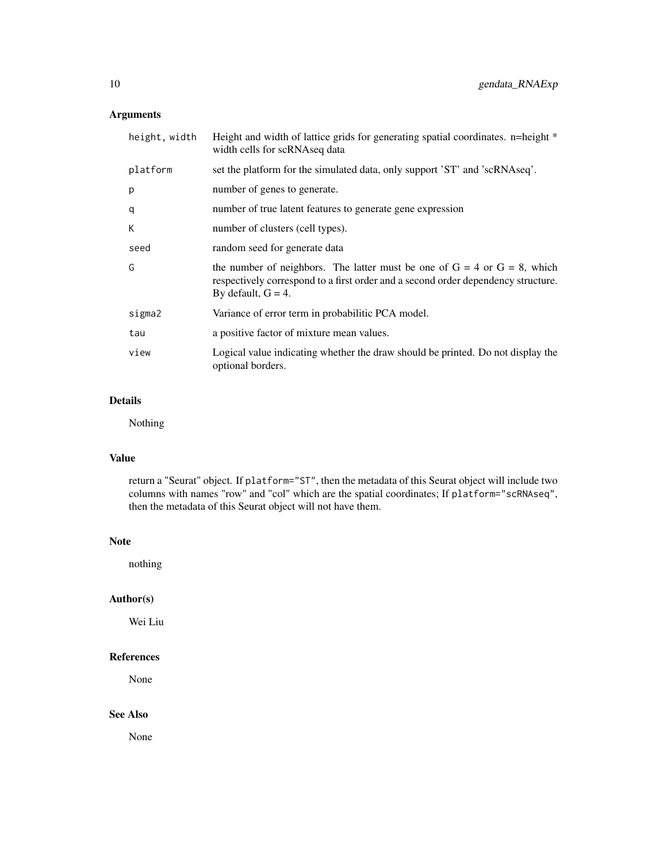# Arguments

| height, width | Height and width of lattice grids for generating spatial coordinates. n=height *<br>width cells for scRNAseq data                                                                           |
|---------------|---------------------------------------------------------------------------------------------------------------------------------------------------------------------------------------------|
| platform      | set the platform for the simulated data, only support 'ST' and 'scRNAseq'.                                                                                                                  |
| p             | number of genes to generate.                                                                                                                                                                |
| q             | number of true latent features to generate gene expression                                                                                                                                  |
| К             | number of clusters (cell types).                                                                                                                                                            |
| seed          | random seed for generate data                                                                                                                                                               |
| G             | the number of neighbors. The latter must be one of $G = 4$ or $G = 8$ , which<br>respectively correspond to a first order and a second order dependency structure.<br>By default, $G = 4$ . |
| sigma2        | Variance of error term in probabilitic PCA model.                                                                                                                                           |
| tau           | a positive factor of mixture mean values.                                                                                                                                                   |
| view          | Logical value indicating whether the draw should be printed. Do not display the<br>optional borders.                                                                                        |
|               |                                                                                                                                                                                             |

# Details

Nothing

# Value

return a "Seurat" object. If platform="ST", then the metadata of this Seurat object will include two columns with names "row" and "col" which are the spatial coordinates; If platform="scRNAseq", then the metadata of this Seurat object will not have them.

#### Note

nothing

# Author(s)

Wei Liu

#### References

None

# See Also

None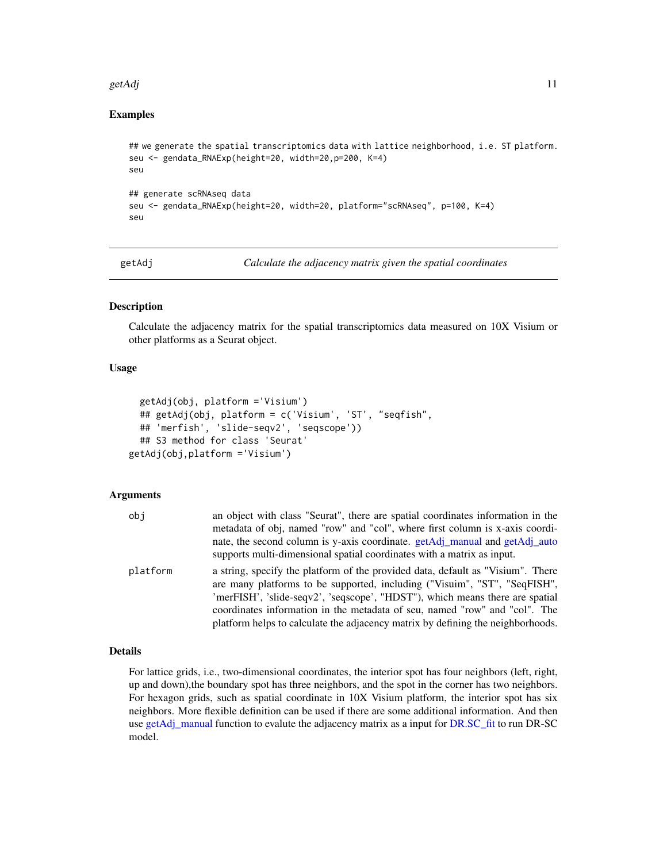#### <span id="page-10-0"></span>getAdj  $\frac{11}{11}$

# Examples

```
## we generate the spatial transcriptomics data with lattice neighborhood, i.e. ST platform.
seu <- gendata_RNAExp(height=20, width=20,p=200, K=4)
seu
## generate scRNAseq data
seu <- gendata_RNAExp(height=20, width=20, platform="scRNAseq", p=100, K=4)
seu
```
<span id="page-10-1"></span>

getAdj *Calculate the adjacency matrix given the spatial coordinates*

#### Description

Calculate the adjacency matrix for the spatial transcriptomics data measured on 10X Visium or other platforms as a Seurat object.

#### Usage

```
getAdj(obj, platform ='Visium')
  ## getAdj(obj, platform = c('Visium', 'ST', "seqfish",
  ## 'merfish', 'slide-seqv2', 'seqscope'))
  ## S3 method for class 'Seurat'
getAdj(obj,platform ='Visium')
```
#### Arguments

| obj      | an object with class "Seurat", there are spatial coordinates information in the                                                                              |
|----------|--------------------------------------------------------------------------------------------------------------------------------------------------------------|
|          | metadata of obj, named "row" and "col", where first column is x-axis coordi-                                                                                 |
|          | nate, the second column is y-axis coordinate. getAdj_manual and getAdj_auto                                                                                  |
|          | supports multi-dimensional spatial coordinates with a matrix as input.                                                                                       |
| platform | a string, specify the platform of the provided data, default as "Visium". There<br>are many platforms to be supported, including ("Visuim", "ST", "SeqFISH", |
|          | 'merFISH', 'slide-seqv2', 'seqscope', "HDST"), which means there are spatial                                                                                 |
|          | coordinates information in the metadata of seu, named "row" and "col". The                                                                                   |
|          | platform helps to calculate the adjacency matrix by defining the neighborhoods.                                                                              |

#### Details

For lattice grids, i.e., two-dimensional coordinates, the interior spot has four neighbors (left, right, up and down),the boundary spot has three neighbors, and the spot in the corner has two neighbors. For hexagon grids, such as spatial coordinate in 10X Visium platform, the interior spot has six neighbors. More flexible definition can be used if there are some additional information. And then use [getAdj\\_manual](#page-12-1) function to evalute the adjacency matrix as a input for [DR.SC\\_fit](#page-4-1) to run DR-SC model.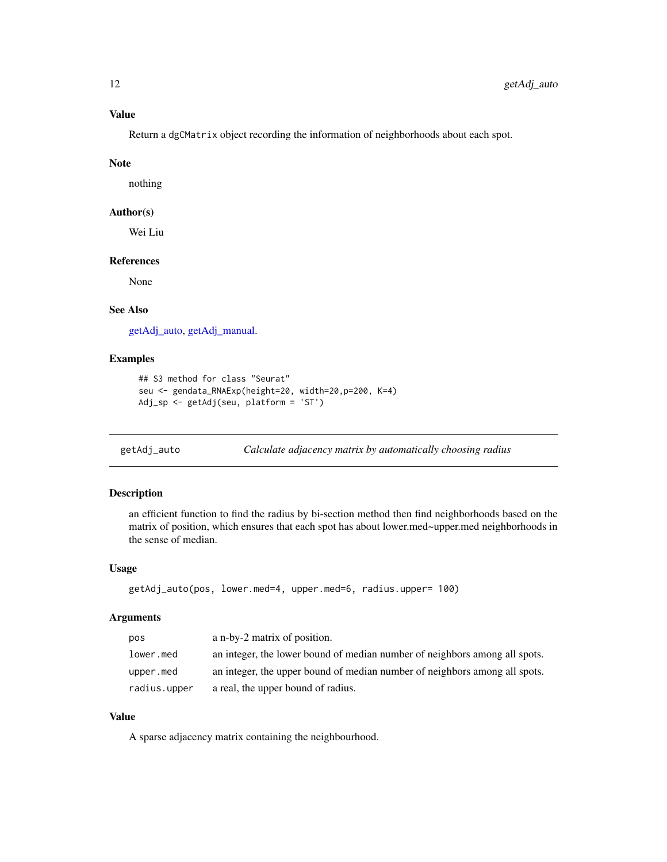<span id="page-11-0"></span>Return a dgCMatrix object recording the information of neighborhoods about each spot.

#### Note

nothing

#### Author(s)

Wei Liu

#### References

None

#### See Also

[getAdj\\_auto,](#page-11-1) [getAdj\\_manual.](#page-12-1)

# Examples

```
## S3 method for class "Seurat"
seu <- gendata_RNAExp(height=20, width=20,p=200, K=4)
Adj_sp <- getAdj(seu, platform = 'ST')
```
<span id="page-11-1"></span>

```
getAdj_auto Calculate adjacency matrix by automatically choosing radius
```
#### Description

an efficient function to find the radius by bi-section method then find neighborhoods based on the matrix of position, which ensures that each spot has about lower.med~upper.med neighborhoods in the sense of median.

#### Usage

```
getAdj_auto(pos, lower.med=4, upper.med=6, radius.upper= 100)
```
#### Arguments

| pos          | a n-by-2 matrix of position.                                               |
|--------------|----------------------------------------------------------------------------|
| lower.med    | an integer, the lower bound of median number of neighbors among all spots. |
| upper.med    | an integer, the upper bound of median number of neighbors among all spots. |
| radius.upper | a real, the upper bound of radius.                                         |

# Value

A sparse adjacency matrix containing the neighbourhood.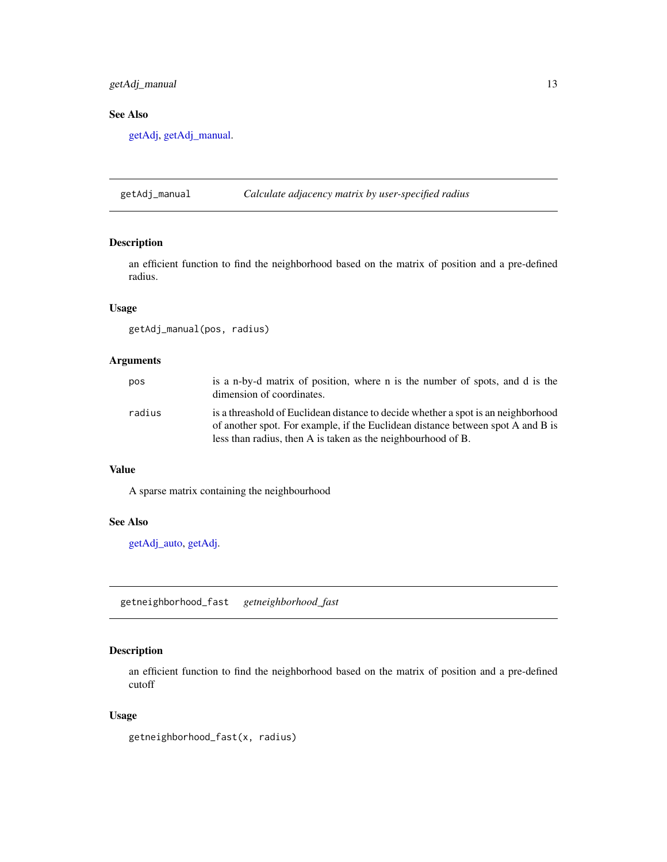# <span id="page-12-0"></span>getAdj\_manual 13

# See Also

[getAdj,](#page-10-1) [getAdj\\_manual.](#page-12-1)

<span id="page-12-1"></span>getAdj\_manual *Calculate adjacency matrix by user-specified radius*

# Description

an efficient function to find the neighborhood based on the matrix of position and a pre-defined radius.

#### Usage

getAdj\_manual(pos, radius)

#### Arguments

| pos    | is a n-by-d matrix of position, where n is the number of spots, and d is the<br>dimension of coordinates.                                                                                                                            |
|--------|--------------------------------------------------------------------------------------------------------------------------------------------------------------------------------------------------------------------------------------|
| radius | is a threashold of Euclidean distance to decide whether a spot is an neighborhood<br>of another spot. For example, if the Euclidean distance between spot A and B is<br>less than radius, then A is taken as the neighbourhood of B. |

# Value

A sparse matrix containing the neighbourhood

#### See Also

[getAdj\\_auto,](#page-11-1) [getAdj.](#page-10-1)

getneighborhood\_fast *getneighborhood\_fast*

# Description

an efficient function to find the neighborhood based on the matrix of position and a pre-defined cutoff

#### Usage

```
getneighborhood_fast(x, radius)
```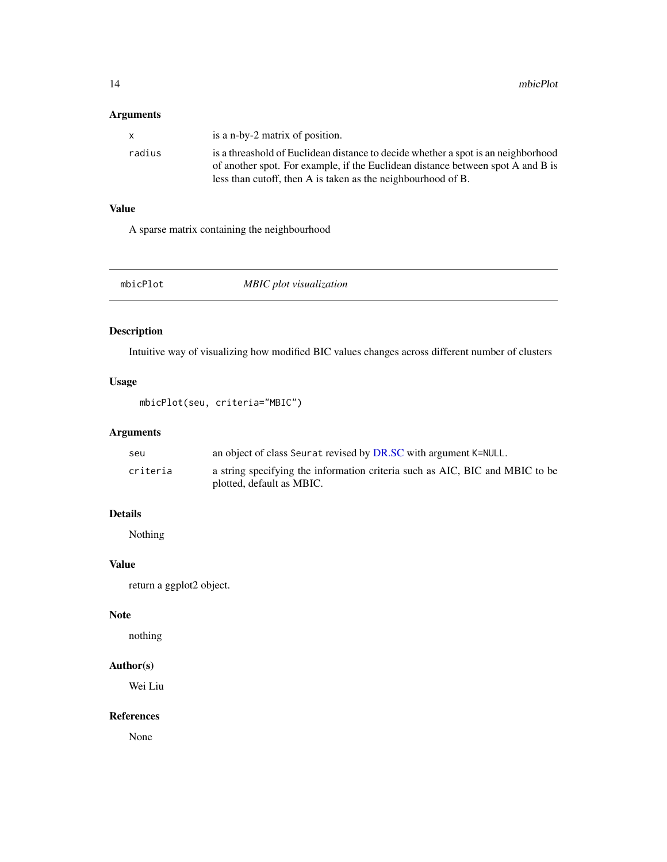# <span id="page-13-0"></span>Arguments

| x      | is a n-by-2 matrix of position.                                                   |
|--------|-----------------------------------------------------------------------------------|
| radius | is a threashold of Euclidean distance to decide whether a spot is an neighborhood |
|        | of another spot. For example, if the Euclidean distance between spot A and B is   |
|        | less than cutoff, then A is taken as the neighbourhood of B.                      |

# Value

A sparse matrix containing the neighbourhood

mbicPlot *MBIC plot visualization*

# Description

Intuitive way of visualizing how modified BIC values changes across different number of clusters

# Usage

mbicPlot(seu, criteria="MBIC")

# Arguments

| seu      | an object of class Seurat revised by DR.SC with argument K=NULL.             |
|----------|------------------------------------------------------------------------------|
| criteria | a string specifying the information criteria such as AIC, BIC and MBIC to be |
|          | plotted, default as MBIC.                                                    |

# Details

Nothing

# Value

return a ggplot2 object.

#### Note

nothing

# Author(s)

Wei Liu

# References

None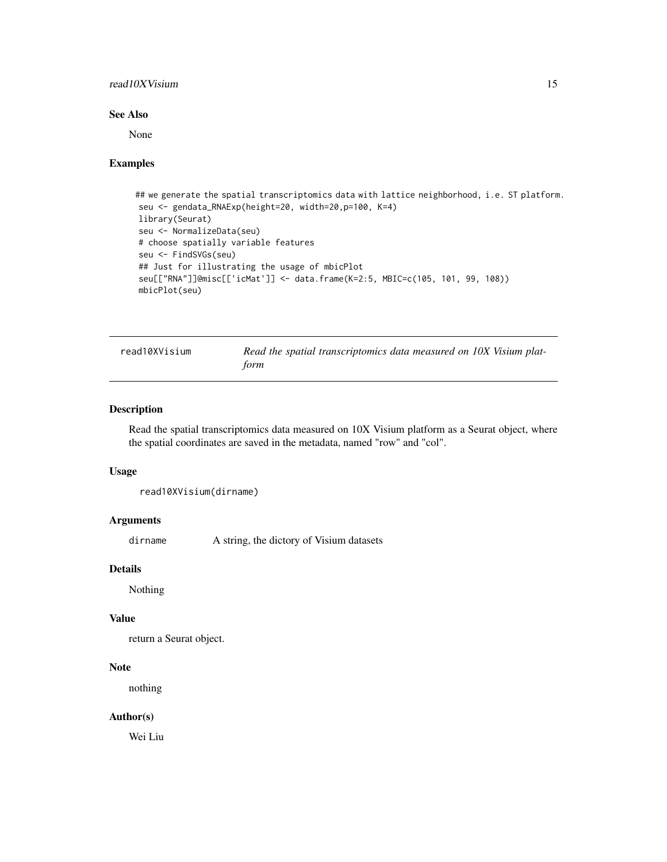#### <span id="page-14-0"></span>read10XVisium 15

#### See Also

None

#### Examples

```
## we generate the spatial transcriptomics data with lattice neighborhood, i.e. ST platform.
seu <- gendata_RNAExp(height=20, width=20,p=100, K=4)
library(Seurat)
seu <- NormalizeData(seu)
# choose spatially variable features
seu <- FindSVGs(seu)
## Just for illustrating the usage of mbicPlot
seu[["RNA"]]@misc[['icMat']] <- data.frame(K=2:5, MBIC=c(105, 101, 99, 108))
mbicPlot(seu)
```

|  | read10XVisium |  |  |
|--|---------------|--|--|
|--|---------------|--|--|

Read the spatial transcriptomics data measured on 10X Visium plat*form*

#### Description

Read the spatial transcriptomics data measured on 10X Visium platform as a Seurat object, where the spatial coordinates are saved in the metadata, named "row" and "col".

#### Usage

```
read10XVisium(dirname)
```
#### Arguments

dirname A string, the dictory of Visium datasets

#### Details

Nothing

#### Value

return a Seurat object.

#### Note

nothing

# Author(s)

Wei Liu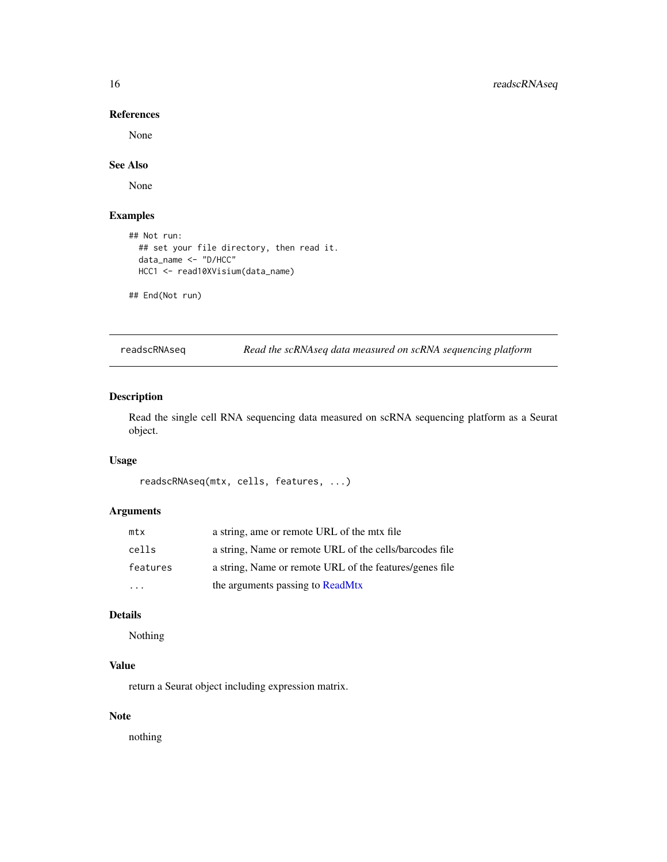# References

None

# See Also

None

# Examples

```
## Not run:
  ## set your file directory, then read it.
  data_name <- "D/HCC"
 HCC1 <- read10XVisium(data_name)
```
## End(Not run)

readscRNAseq *Read the scRNAseq data measured on scRNA sequencing platform*

# Description

Read the single cell RNA sequencing data measured on scRNA sequencing platform as a Seurat object.

# Usage

```
readscRNAseq(mtx, cells, features, ...)
```
# Arguments

| mtx      | a string, ame or remote URL of the mtx file             |
|----------|---------------------------------------------------------|
| cells    | a string, Name or remote URL of the cells/barcodes file |
| features | a string, Name or remote URL of the features/genes file |
|          | the arguments passing to ReadMtx                        |

#### Details

Nothing

# Value

return a Seurat object including expression matrix.

# Note

nothing

<span id="page-15-0"></span>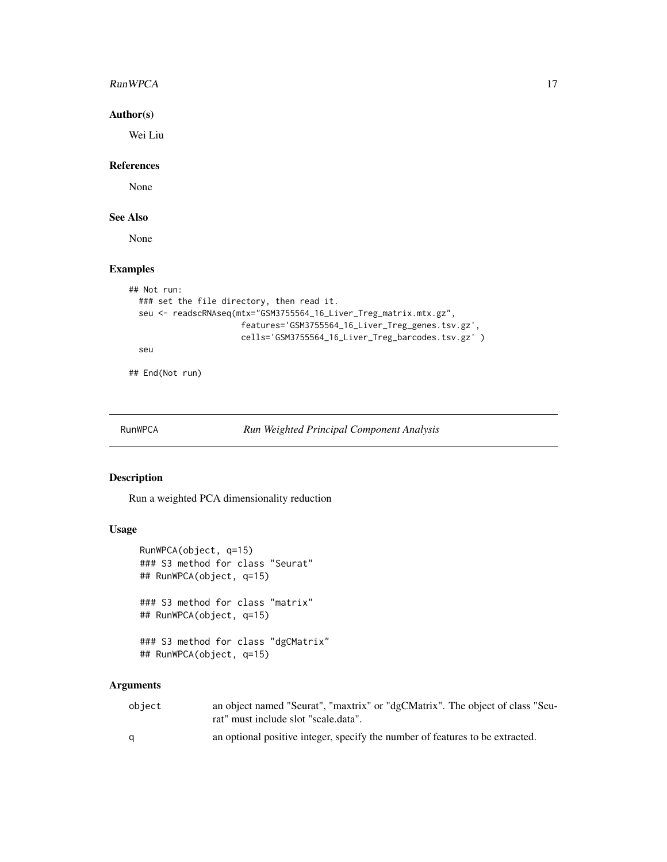#### <span id="page-16-0"></span>RunWPCA 17

# Author(s)

Wei Liu

#### References

None

# See Also

None

# Examples

```
## Not run:
  ### set the file directory, then read it.
  seu <- readscRNAseq(mtx="GSM3755564_16_Liver_Treg_matrix.mtx.gz",
                       features='GSM3755564_16_Liver_Treg_genes.tsv.gz',
                       cells='GSM3755564_16_Liver_Treg_barcodes.tsv.gz' )
  seu
```
## End(Not run)

RunWPCA *Run Weighted Principal Component Analysis*

# Description

Run a weighted PCA dimensionality reduction

# Usage

```
RunWPCA(object, q=15)
### S3 method for class "Seurat"
## RunWPCA(object, q=15)
### S3 method for class "matrix"
## RunWPCA(object, q=15)
### S3 method for class "dgCMatrix"
## RunWPCA(object, q=15)
```
#### Arguments

| obiect | an object named "Seurat", "maxtrix" or "dgCMatrix". The object of class "Seu- |
|--------|-------------------------------------------------------------------------------|
|        | rat" must include slot "scale.data".                                          |
|        | an optional positive integer, specify the number of features to be extracted. |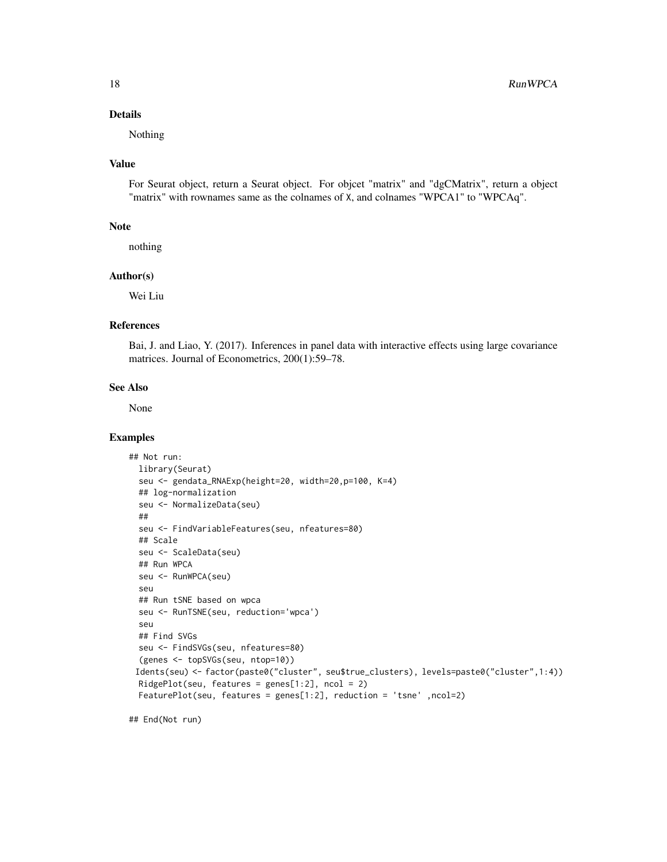#### Details

Nothing

#### Value

For Seurat object, return a Seurat object. For objcet "matrix" and "dgCMatrix", return a object "matrix" with rownames same as the colnames of X, and colnames "WPCA1" to "WPCAq".

#### Note

nothing

#### Author(s)

Wei Liu

#### References

Bai, J. and Liao, Y. (2017). Inferences in panel data with interactive effects using large covariance matrices. Journal of Econometrics, 200(1):59–78.

#### See Also

None

# Examples

```
## Not run:
 library(Seurat)
 seu <- gendata_RNAExp(height=20, width=20,p=100, K=4)
 ## log-normalization
 seu <- NormalizeData(seu)
 ##
 seu <- FindVariableFeatures(seu, nfeatures=80)
 ## Scale
 seu <- ScaleData(seu)
 ## Run WPCA
 seu <- RunWPCA(seu)
 seu
 ## Run tSNE based on wpca
 seu <- RunTSNE(seu, reduction='wpca')
 seu
 ## Find SVGs
 seu <- FindSVGs(seu, nfeatures=80)
  (genes <- topSVGs(seu, ntop=10))
 Idents(seu) <- factor(paste0("cluster", seu$true_clusters), levels=paste0("cluster",1:4))
 RidgePlot(seu, features = genes[1:2], ncol = 2)
 FeaturePlot(seu, features = genes[1:2], reduction = 'tsne' ,ncol=2)
```
## End(Not run)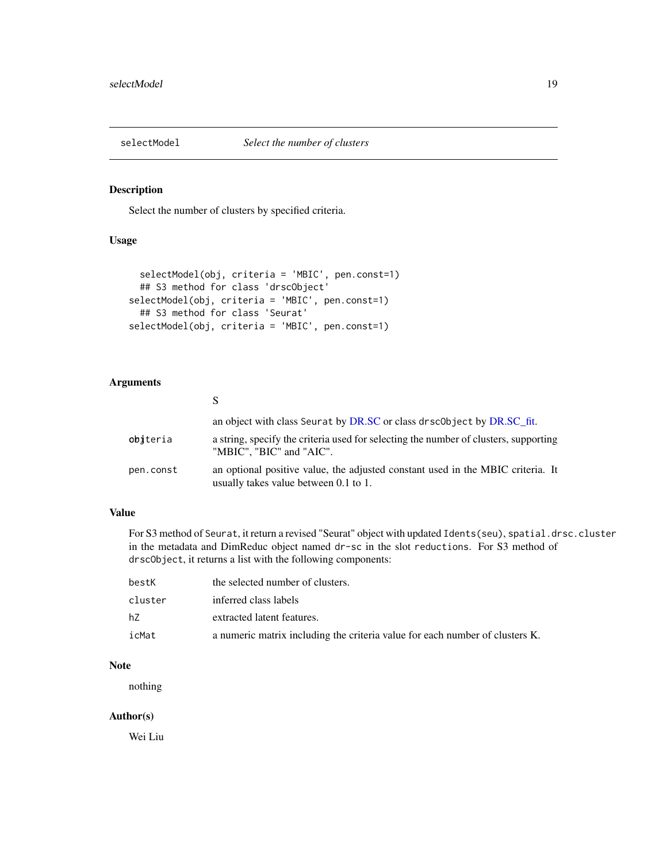<span id="page-18-1"></span><span id="page-18-0"></span>

# Description

Select the number of clusters by specified criteria.

# Usage

```
selectModel(obj, criteria = 'MBIC', pen.const=1)
 ## S3 method for class 'drscObject'
selectModel(obj, criteria = 'MBIC', pen.const=1)
 ## S3 method for class 'Seurat'
selectModel(obj, criteria = 'MBIC', pen.const=1)
```
# Arguments

|           | an object with class Seurat by DR.SC or class drsc0bject by DR.SC_fit.                                                   |
|-----------|--------------------------------------------------------------------------------------------------------------------------|
| obiteria  | a string, specify the criteria used for selecting the number of clusters, supporting<br>"MBIC", "BIC" and "AIC".         |
| pen.const | an optional positive value, the adjusted constant used in the MBIC criteria. It<br>usually takes value between 0.1 to 1. |

# Value

For S3 method of Seurat, it return a revised "Seurat" object with updated Idents(seu), spatial.drsc.cluster in the metadata and DimReduc object named dr-sc in the slot reductions. For S3 method of drscObject, it returns a list with the following components:

| bestK   | the selected number of clusters.                                             |
|---------|------------------------------------------------------------------------------|
| cluster | inferred class labels                                                        |
| hZ      | extracted latent features.                                                   |
| icMat   | a numeric matrix including the criteria value for each number of clusters K. |

#### Note

nothing

# Author(s)

Wei Liu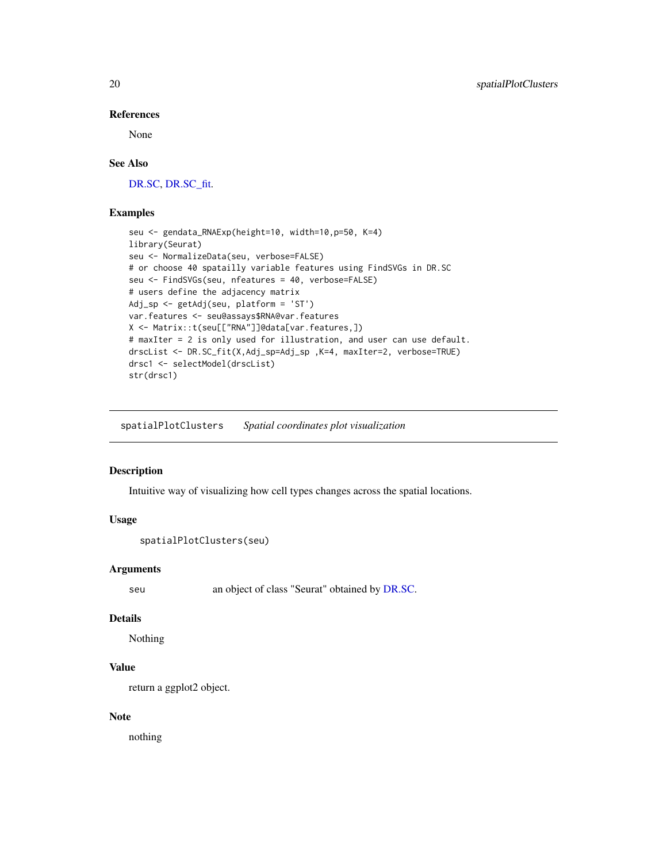#### References

None

#### See Also

[DR.SC,](#page-2-1) [DR.SC\\_fit.](#page-4-1)

#### Examples

```
seu <- gendata_RNAExp(height=10, width=10,p=50, K=4)
library(Seurat)
seu <- NormalizeData(seu, verbose=FALSE)
# or choose 40 spatailly variable features using FindSVGs in DR.SC
seu <- FindSVGs(seu, nfeatures = 40, verbose=FALSE)
# users define the adjacency matrix
Adj_sp <- getAdj(seu, platform = 'ST')
var.features <- seu@assays$RNA@var.features
X <- Matrix::t(seu[["RNA"]]@data[var.features,])
# maxIter = 2 is only used for illustration, and user can use default.
drscList <- DR.SC_fit(X,Adj_sp=Adj_sp ,K=4, maxIter=2, verbose=TRUE)
drsc1 <- selectModel(drscList)
str(drsc1)
```
spatialPlotClusters *Spatial coordinates plot visualization*

#### Description

Intuitive way of visualizing how cell types changes across the spatial locations.

#### Usage

```
spatialPlotClusters(seu)
```
# Arguments

seu an object of class "Seurat" obtained by [DR.SC.](#page-2-1)

#### Details

Nothing

# Value

return a ggplot2 object.

#### Note

nothing

<span id="page-19-0"></span>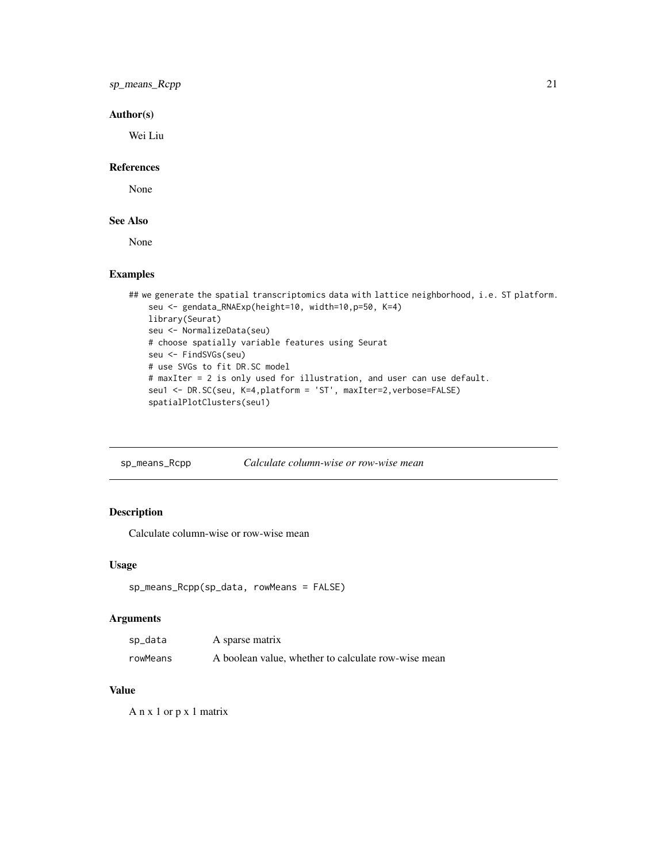# <span id="page-20-0"></span>sp\_means\_Rcpp 21

# Author(s)

Wei Liu

# References

None

# See Also

None

#### Examples

```
## we generate the spatial transcriptomics data with lattice neighborhood, i.e. ST platform.
   seu <- gendata_RNAExp(height=10, width=10,p=50, K=4)
   library(Seurat)
   seu <- NormalizeData(seu)
   # choose spatially variable features using Seurat
   seu <- FindSVGs(seu)
   # use SVGs to fit DR.SC model
   # maxIter = 2 is only used for illustration, and user can use default.
   seu1 <- DR.SC(seu, K=4,platform = 'ST', maxIter=2,verbose=FALSE)
    spatialPlotClusters(seu1)
```
sp\_means\_Rcpp *Calculate column-wise or row-wise mean*

# Description

Calculate column-wise or row-wise mean

#### Usage

```
sp_means_Rcpp(sp_data, rowMeans = FALSE)
```
#### Arguments

| sp_data  | A sparse matrix                                     |
|----------|-----------------------------------------------------|
| rowMeans | A boolean value, whether to calculate row-wise mean |

# Value

A n x 1 or p x 1 matrix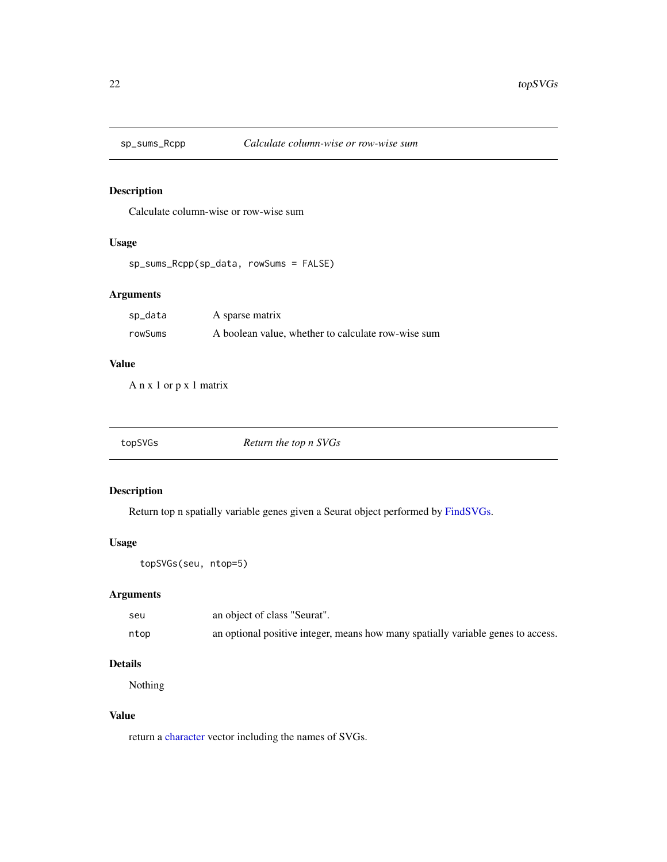<span id="page-21-0"></span>

# Description

Calculate column-wise or row-wise sum

# Usage

```
sp_sums_Rcpp(sp_data, rowSums = FALSE)
```
# Arguments

| sp_data | A sparse matrix                                    |
|---------|----------------------------------------------------|
| rowSums | A boolean value, whether to calculate row-wise sum |

# Value

A n x 1 or p x 1 matrix

<span id="page-21-1"></span>

| Return the top n SVGs<br>topSVGs |  |
|----------------------------------|--|
|----------------------------------|--|

# Description

Return top n spatially variable genes given a Seurat object performed by [FindSVGs.](#page-7-1)

#### Usage

```
topSVGs(seu, ntop=5)
```
# Arguments

| seu  | an object of class "Seurat".                                                     |
|------|----------------------------------------------------------------------------------|
| ntop | an optional positive integer, means how many spatially variable genes to access. |

# Details

Nothing

# Value

return a [character](#page-0-0) vector including the names of SVGs.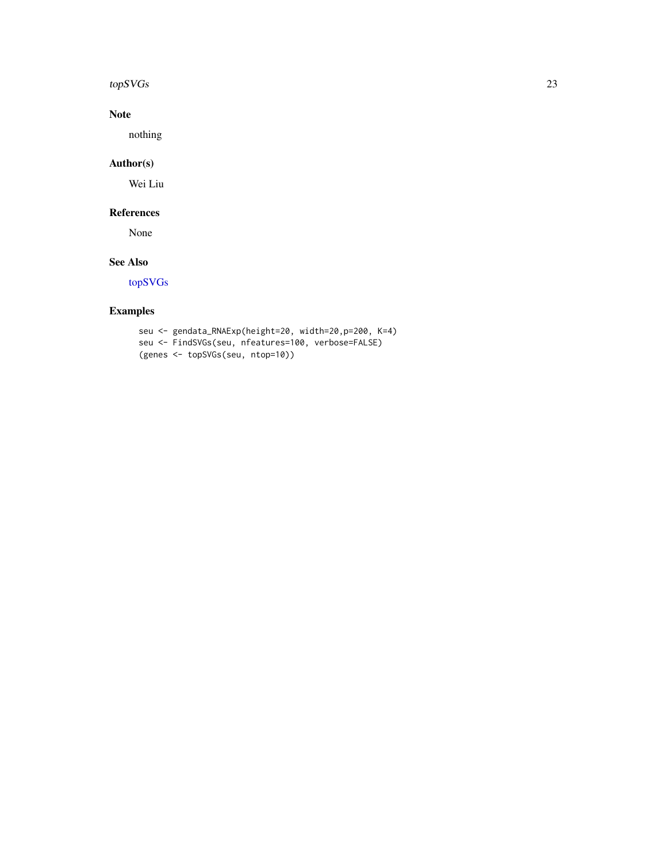#### <span id="page-22-0"></span> $topSVGs$  23

# Note

nothing

# Author(s)

Wei Liu

# References

None

# See Also

[topSVGs](#page-21-1)

# Examples

seu <- gendata\_RNAExp(height=20, width=20,p=200, K=4) seu <- FindSVGs(seu, nfeatures=100, verbose=FALSE) (genes <- topSVGs(seu, ntop=10))